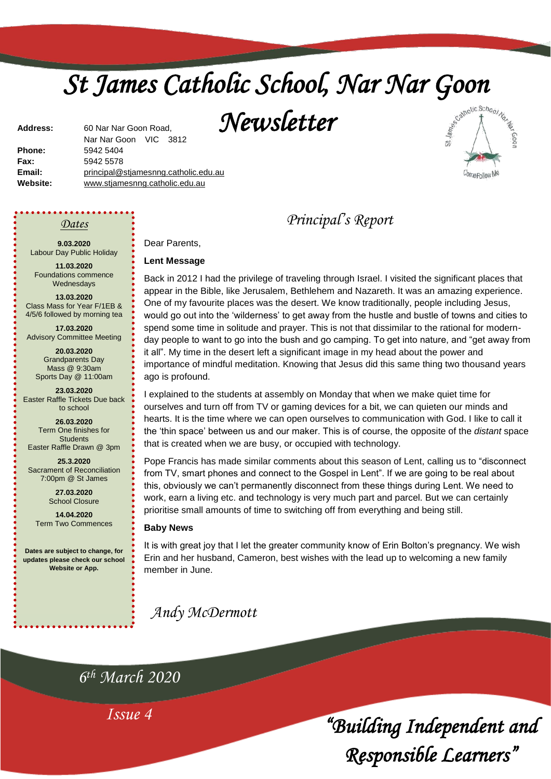# *St James Catholic School, Nar Nar Goon*

*Newsletter* 



**Address:** 60 Nar Nar Goon Road, Nar Nar Goon VIC 3812 **Phone:** 5942 5404 **Fax:** 5942 5578 **Email:** [principal@stjamesnng.catholic.edu.au](mailto:principal@stjames.catholic.edu.au) **Website:** [www.stjamesnng.catholic.edu.au](http://www.stjamesnng.catholic.edu.au/)

*Dates* 

**9.03.2020** Labour Day Public Holiday

**11.03.2020** Foundations commence Wednesdays

**13.03.2020** Class Mass for Year F/1EB & 4/5/6 followed by morning tea

**17.03.2020** Advisory Committee Meeting

**20.03.2020** Grandparents Day Mass @ 9:30am Sports Day @ 11:00am

**23.03.2020** Easter Raffle Tickets Due back to school

**26.03.2020** Term One finishes for **Students** Easter Raffle Drawn @ 3pm

**25.3.2020** Sacrament of Reconciliation 7:00pm @ St James

> **27.03.2020** School Closure

**14.04.2020** Term Two Commences

**Dates are subject to change, for updates please check our school Website or App.**

Dear Parents,

#### **Lent Message**

Back in 2012 I had the privilege of traveling through Israel. I visited the significant places that appear in the Bible, like Jerusalem, Bethlehem and Nazareth. It was an amazing experience. One of my favourite places was the desert. We know traditionally, people including Jesus, would go out into the 'wilderness' to get away from the hustle and bustle of towns and cities to spend some time in solitude and prayer. This is not that dissimilar to the rational for modernday people to want to go into the bush and go camping. To get into nature, and "get away from it all". My time in the desert left a significant image in my head about the power and importance of mindful meditation. Knowing that Jesus did this same thing two thousand years ago is profound.

*Principal's Report*

I explained to the students at assembly on Monday that when we make quiet time for ourselves and turn off from TV or gaming devices for a bit, we can quieten our minds and hearts. It is the time where we can open ourselves to communication with God. I like to call it the 'thin space' between us and our maker. This is of course, the opposite of the *distant* space that is created when we are busy, or occupied with technology.

Pope Francis has made similar comments about this season of Lent, calling us to "disconnect from TV, smart phones and connect to the Gospel in Lent". If we are going to be real about this, obviously we can't permanently disconnect from these things during Lent. We need to work, earn a living etc. and technology is very much part and parcel. But we can certainly prioritise small amounts of time to switching off from everything and being still.

#### **Baby News**

It is with great joy that I let the greater community know of Erin Bolton's pregnancy. We wish Erin and her husband, Cameron, best wishes with the lead up to welcoming a new family member in June.

*Andy McDermott*

*6 th March 2020*

*Issue 4*

*"Building Independent and Responsible Learners"*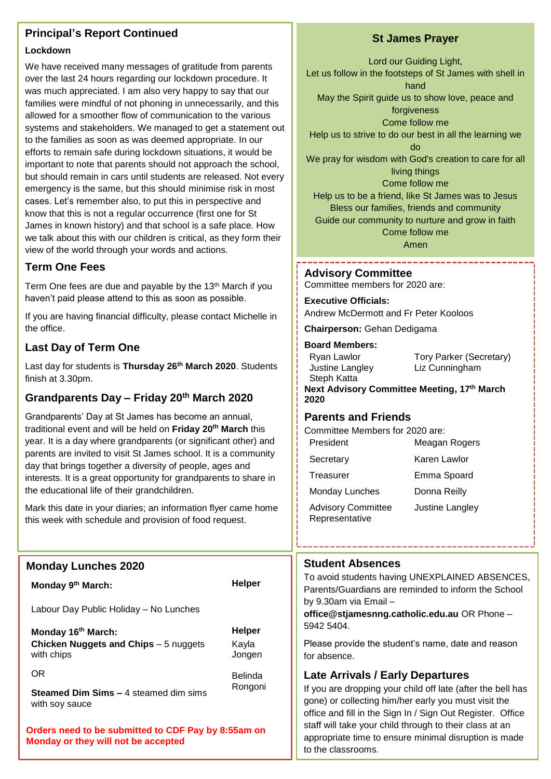# **Principal's Report Continued**

#### **Lockdown**

We have received many messages of gratitude from parents over the last 24 hours regarding our lockdown procedure. It was much appreciated. I am also very happy to say that our families were mindful of not phoning in unnecessarily, and this allowed for a smoother flow of communication to the various systems and stakeholders. We managed to get a statement out to the families as soon as was deemed appropriate. In our efforts to remain safe during lockdown situations, it would be important to note that parents should not approach the school, but should remain in cars until students are released. Not every emergency is the same, but this should minimise risk in most cases. Let's remember also, to put this in perspective and know that this is not a regular occurrence (first one for St James in known history) and that school is a safe place. How we talk about this with our children is critical, as they form their view of the world through your words and actions.

# **Term One Fees**

Term One fees are due and payable by the 13th March if you haven't paid please attend to this as soon as possible.

If you are having financial difficulty, please contact Michelle in the office.

# **Last Day of Term One**

Last day for students is **Thursday 26th March 2020**. Students finish at 3.30pm.

# **Grandparents Day – Friday 20th March 2020**

Grandparents' Day at St James has become an annual, traditional event and will be held on **Friday 20th March** this year. It is a day where grandparents (or significant other) and parents are invited to visit St James school. It is a community day that brings together a diversity of people, ages and interests. It is a great opportunity for grandparents to share in the educational life of their grandchildren.

Mark this date in your diaries; an information flyer came home this week with schedule and provision of food request.

# **Monday Lunches 2020**

**Monday 9<sup>th</sup> March: Helper** 

Labour Day Public Holiday – No Lunches

**Monday 16th March: Helper Chicken Nuggets and Chips** – 5 nuggets with chips

OR

Belinda Rongoni

Kayla Jongen

**Steamed Dim Sims –** 4 steamed dim sims with soy sauce

**Orders need to be submitted to CDF Pay by 8:55am on Monday or they will not be accepted**

# **St James Prayer**

Lord our Guiding Light, Let us follow in the footsteps of St James with shell in hand May the Spirit guide us to show love, peace and forgiveness Come follow me Help us to strive to do our best in all the learning we do We pray for wisdom with God's creation to care for all living things Come follow me Help us to be a friend, like St James was to Jesus Bless our families, friends and community Guide our community to nurture and grow in faith

> Come follow me Amen

**Advisory Committee** 

Committee members for 2020 are:

. . . . . . . . . . . . . . .

**Executive Officials:**

Andrew McDermott and Fr Peter Kooloos

**Chairperson:** Gehan Dedigama

#### **Board Members:**

| Ryan Lawlor     |  |
|-----------------|--|
| Justine Langley |  |
| Steph Katta     |  |

Tory Parker (Secretary) Liz Cunningham

**Next Advisory Committee Meeting, 17th March 2020**

# **Parents and Friends**

Committee Members for 2020 are:

| Karen Lawlor<br>Secretary<br>Emma Spoard<br>Treasurer<br><b>Monday Lunches</b><br>Donna Reilly<br><b>Advisory Committee</b><br>Justine Langley<br>Representative | President | Meagan Rogers |
|------------------------------------------------------------------------------------------------------------------------------------------------------------------|-----------|---------------|
|                                                                                                                                                                  |           |               |
|                                                                                                                                                                  |           |               |
|                                                                                                                                                                  |           |               |
|                                                                                                                                                                  |           |               |

#### **Student Absences**

To avoid students having UNEXPLAINED ABSENCES, Parents/Guardians are reminded to inform the School by 9.30am via Email –

**office@stjamesnng.catholic.edu.au** OR Phone – 5942 5404.

Please provide the student's name, date and reason for absence.

# **Late Arrivals / Early Departures**

2 office and fill in the Sign In / Sign Out Register. Office If you are dropping your child off late (after the bell has gone) or collecting him/her early you must visit the staff will take your child through to their class at an appropriate time to ensure minimal disruption is made to the classrooms.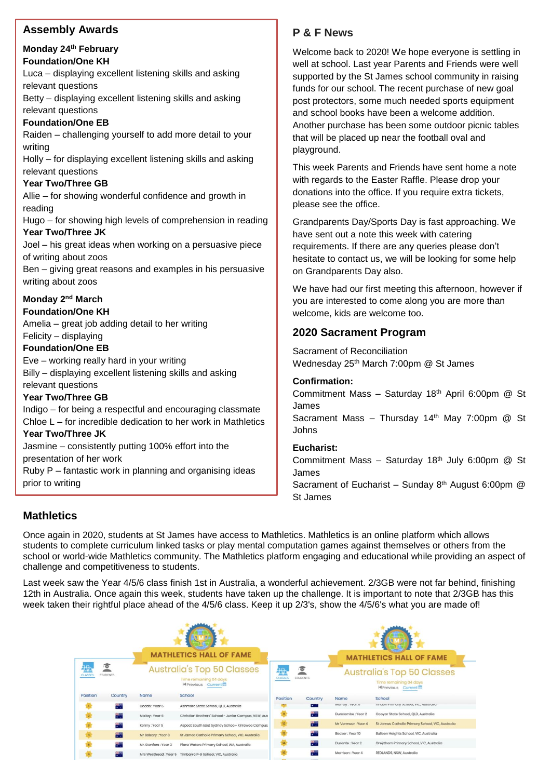# **Assembly Awards**

# **Monday 24th February**

**Foundation/One KH**

Luca – displaying excellent listening skills and asking relevant questions

Betty – displaying excellent listening skills and asking relevant questions

#### **Foundation/One EB**

Raiden – challenging yourself to add more detail to your writing

Holly – for displaying excellent listening skills and asking relevant questions

#### **Year Two/Three GB**

Allie – for showing wonderful confidence and growth in reading

Hugo – for showing high levels of comprehension in reading **Year Two/Three JK**

Joel – his great ideas when working on a persuasive piece of writing about zoos

Ben – giving great reasons and examples in his persuasive writing about zoos

# **Monday 2<sup>nd</sup> March**

#### **Foundation/One KH**

Amelia – great job adding detail to her writing Felicity – displaying

## **Foundation/One EB**

Eve – working really hard in your writing Billy – displaying excellent listening skills and asking relevant questions

#### **Year Two/Three GB**

Indigo – for being a respectful and encouraging classmate Chloe L – for incredible dedication to her work in Mathletics

#### **Year Two/Three JK**

Jasmine – consistently putting 100% effort into the presentation of her work

Ruby P – fantastic work in planning and organising ideas prior to writing

# **P & F News**

Welcome back to 2020! We hope everyone is settling in well at school. Last year Parents and Friends were well supported by the St James school community in raising funds for our school. The recent purchase of new goal post protectors, some much needed sports equipment and school books have been a welcome addition. Another purchase has been some outdoor picnic tables that will be placed up near the football oval and playground.

This week Parents and Friends have sent home a note with regards to the Easter Raffle. Please drop your donations into the office. If you require extra tickets, please see the office.

Grandparents Day/Sports Day is fast approaching. We have sent out a note this week with catering requirements. If there are any queries please don't hesitate to contact us, we will be looking for some help on Grandparents Day also.

We have had our first meeting this afternoon, however if you are interested to come along you are more than welcome, kids are welcome too.

# **2020 Sacrament Program**

Sacrament of Reconciliation Wednesday 25<sup>th</sup> March 7:00pm @ St James

#### **Confirmation:**

Commitment Mass – Saturday 18th April 6:00pm @ St James Sacrament Mass – Thursday 14<sup>th</sup> May 7:00pm  $@$  St Johns

#### **Eucharist:**

Commitment Mass - Saturday  $18<sup>th</sup>$  July 6:00pm @ St James

Sacrament of Eucharist – Sunday  $8<sup>th</sup>$  August 6:00pm  $@$ St James

# **Mathletics**

Once again in 2020, students at St James have access to Mathletics. Mathletics is an online platform which allows students to complete curriculum linked tasks or play mental computation games against themselves or others from the school or world-wide Mathletics community. The Mathletics platform engaging and educational while providing an aspect of challenge and competitiveness to students.

Last week saw the Year 4/5/6 class finish 1st in Australia, a wonderful achievement. 2/3GB were not far behind, finishing 12th in Australia. Once again this week, students have taken up the challenge. It is important to note that 2/3GB has this week taken their rightful place ahead of the 4/5/6 class. Keep it up 2/3's, show the 4/5/6's what you are made of!

| <b>MATHLETICS HALL OF FAME</b> |                                                                                                                                         |                       |                                                                                   | <b>MATHLETICS HALL OF FAME</b>     |                       |                    |                                                                                   |
|--------------------------------|-----------------------------------------------------------------------------------------------------------------------------------------|-----------------------|-----------------------------------------------------------------------------------|------------------------------------|-----------------------|--------------------|-----------------------------------------------------------------------------------|
| 驹<br><b>CLASSES</b>            | ₹<br><b>STUDENTS</b>                                                                                                                    |                       | <b>Australia's Top 50 Classes</b><br>Time remaining 04 days<br>M Previous Current | <mark>ag.</mark><br><b>CLASSES</b> | 污<br><b>STUDENTS</b>  |                    | <b>Australia's Top 50 Classes</b><br>Time remaining 04 days<br>M Previous Current |
| Position                       | Country                                                                                                                                 | Name                  | School                                                                            | Position                           | Country               | Name               | School                                                                            |
|                                | en en de la posterior.<br>Castella de la construcción de la construcción de la construcción de la construcción de la construcción de la | Dodds: Year 6         | Ashmore State School, QLD, Australia                                              |                                    | $\bullet$ . $\bullet$ | wurruy, reur o     | FINDITFITING YOUNG, YIG, AUSTURO                                                  |
| $\overline{2}$                 | 带带                                                                                                                                      | Malloy: Year 6        | Christian Brothers' School - Junior Campus, NSW, Aus                              |                                    | स्थल                  | Duncombe: Year 2   | Cooyar State School, QLD, Australia                                               |
|                                | 高的                                                                                                                                      | Kenny: Year 5         | Aspect South East Sydney School- Kirrawee Campus,                                 | 12                                 | File                  | Mr Vermeer: Year 4 | St James Catholic Primary School, VIC, Australia                                  |
|                                | 部                                                                                                                                       | Mr Balzary: Year 3    | St James Catholic Primary School, VIC, Australia                                  |                                    | 開花                    | Becker: Year 10    | Bulleen Heights School, VIC, Australia                                            |
|                                | a.                                                                                                                                      | Mr. Stenfors : Year 3 | Piara Waters Primary School, WA, Australia                                        |                                    | 壽                     | Durante: Year 2    | Greythorn Primary School, VIC, Australia                                          |
|                                | 带                                                                                                                                       |                       | Mrs Westhead: Year 5 Timbarra P-9 School, VIC, Australia                          |                                    | 带                     | Morrison: Year 4   | REDLANDS, NSW. Australia                                                          |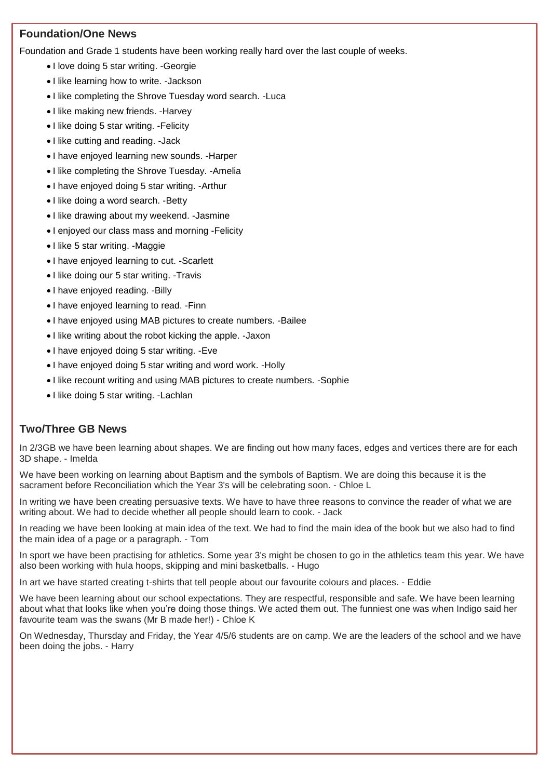# **Foundation/One News**

Foundation and Grade 1 students have been working really hard over the last couple of weeks.

- I love doing 5 star writing. -Georgie
- I like learning how to write. -Jackson
- I like completing the Shrove Tuesday word search. Luca
- I like making new friends. Harvey
- I like doing 5 star writing. Felicity
- I like cutting and reading. Jack
- I have enjoyed learning new sounds. Harper
- I like completing the Shrove Tuesday. Amelia
- I have enjoyed doing 5 star writing. Arthur
- I like doing a word search. Betty
- I like drawing about my weekend. Jasmine
- I enjoyed our class mass and morning -Felicity
- I like 5 star writing. -Maggie
- I have enjoyed learning to cut. -Scarlett
- I like doing our 5 star writing. -Travis
- I have enjoyed reading. Billy
- I have enjoyed learning to read. -Finn
- I have enjoyed using MAB pictures to create numbers. -Bailee
- I like writing about the robot kicking the apple. -Jaxon
- I have enjoyed doing 5 star writing. Eve
- I have enjoyed doing 5 star writing and word work. Holly
- I like recount writing and using MAB pictures to create numbers. Sophie
- I like doing 5 star writing. -Lachlan

# **Two/Three GB News**

In 2/3GB we have been learning about shapes. We are finding out how many faces, edges and vertices there are for each 3D shape. - Imelda

We have been working on learning about Baptism and the symbols of Baptism. We are doing this because it is the sacrament before Reconciliation which the Year 3's will be celebrating soon. - Chloe L

In writing we have been creating persuasive texts. We have to have three reasons to convince the reader of what we are writing about. We had to decide whether all people should learn to cook. - Jack

In reading we have been looking at main idea of the text. We had to find the main idea of the book but we also had to find the main idea of a page or a paragraph. - Tom

In sport we have been practising for athletics. Some year 3's might be chosen to go in the athletics team this year. We have also been working with hula hoops, skipping and mini basketballs. - Hugo

In art we have started creating t-shirts that tell people about our favourite colours and places. - Eddie

We have been learning about our school expectations. They are respectful, responsible and safe. We have been learning about what that looks like when you're doing those things. We acted them out. The funniest one was when Indigo said her favourite team was the swans (Mr B made her!) - Chloe K

On Wednesday, Thursday and Friday, the Year 4/5/6 students are on camp. We are the leaders of the school and we have been doing the jobs. - Harry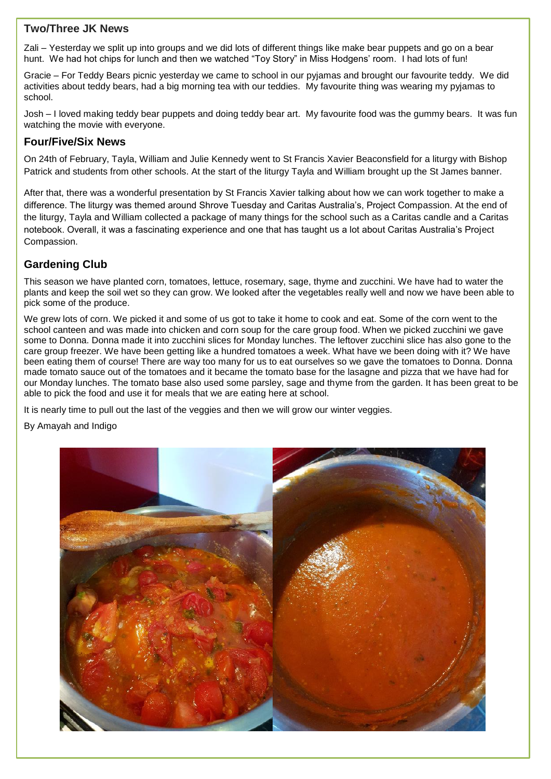# **Two/Three JK News**

Zali – Yesterday we split up into groups and we did lots of different things like make bear puppets and go on a bear hunt. We had hot chips for lunch and then we watched "Toy Story" in Miss Hodgens' room. I had lots of fun!

Gracie – For Teddy Bears picnic yesterday we came to school in our pyjamas and brought our favourite teddy. We did activities about teddy bears, had a big morning tea with our teddies. My favourite thing was wearing my pyjamas to school.

Josh – I loved making teddy bear puppets and doing teddy bear art. My favourite food was the gummy bears. It was fun watching the movie with everyone.

### **Four/Five/Six News**

On 24th of February, Tayla, William and Julie Kennedy went to St Francis Xavier Beaconsfield for a liturgy with Bishop Patrick and students from other schools. At the start of the liturgy Tayla and William brought up the St James banner.

After that, there was a wonderful presentation by St Francis Xavier talking about how we can work together to make a difference. The liturgy was themed around Shrove Tuesday and Caritas Australia's, Project Compassion. At the end of the liturgy, Tayla and William collected a package of many things for the school such as a Caritas candle and a Caritas notebook. Overall, it was a fascinating experience and one that has taught us a lot about Caritas Australia's Project Compassion.

# **Gardening Club**

This season we have planted corn, tomatoes, lettuce, rosemary, sage, thyme and zucchini. We have had to water the plants and keep the soil wet so they can grow. We looked after the vegetables really well and now we have been able to pick some of the produce.

We grew lots of corn. We picked it and some of us got to take it home to cook and eat. Some of the corn went to the school canteen and was made into chicken and corn soup for the care group food. When we picked zucchini we gave some to Donna. Donna made it into zucchini slices for Monday lunches. The leftover zucchini slice has also gone to the care group freezer. We have been getting like a hundred tomatoes a week. What have we been doing with it? We have been eating them of course! There are way too many for us to eat ourselves so we gave the tomatoes to Donna. Donna made tomato sauce out of the tomatoes and it became the tomato base for the lasagne and pizza that we have had for our Monday lunches. The tomato base also used some parsley, sage and thyme from the garden. It has been great to be able to pick the food and use it for meals that we are eating here at school.

It is nearly time to pull out the last of the veggies and then we will grow our winter veggies.

By Amayah and Indigo